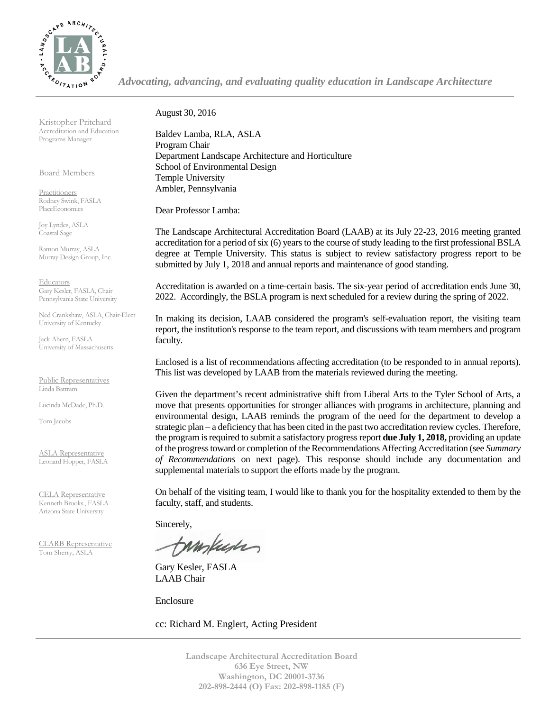

*Advocating, advancing, and evaluating quality education in Landscape Architecture*

Kristopher Pritchard Accreditation and Education Programs Manager

Board Members

Practitioners Rodney Swink, FASLA PlaceEconomics

Joy Lyndes, ASLA Coastal Sage

Ramon Murray, ASLA Murray Design Group, Inc.

Educators Gary Kesler, FASLA, Chair Pennsylvania State University

Ned Crankshaw, ASLA, Chair-Elect University of Kentucky

Jack Ahern, FASLA University of Massachusetts

Public Representatives Linda Battram

Lucinda McDade, Ph.D.

Tom Jacobs

ASLA Representative Leonard Hopper, FASLA

CELA Representative Kenneth Brooks., FASLA Arizona State University

CLARB Representative Tom Sherry, ASLA

## August 30, 2016

Baldev Lamba, RLA, ASLA Program Chair Department Landscape Architecture and Horticulture School of Environmental Design Temple University Ambler, Pennsylvania

Dear Professor Lamba:

The Landscape Architectural Accreditation Board (LAAB) at its July 22-23, 2016 meeting granted accreditation for a period of six (6) years to the course of study leading to the first professional BSLA degree at Temple University. This status is subject to review satisfactory progress report to be submitted by July 1, 2018 and annual reports and maintenance of good standing.

Accreditation is awarded on a time-certain basis. The six-year period of accreditation ends June 30, 2022. Accordingly, the BSLA program is next scheduled for a review during the spring of 2022.

In making its decision, LAAB considered the program's self-evaluation report, the visiting team report, the institution's response to the team report, and discussions with team members and program faculty.

Enclosed is a list of recommendations affecting accreditation (to be responded to in annual reports). This list was developed by LAAB from the materials reviewed during the meeting.

Given the department's recent administrative shift from Liberal Arts to the Tyler School of Arts, a move that presents opportunities for stronger alliances with programs in architecture, planning and environmental design, LAAB reminds the program of the need for the department to develop a strategic plan – a deficiency that has been cited in the past two accreditation review cycles. Therefore, the program is required to submit a satisfactory progress report **due July 1, 2018,** providing an update of the progress toward or completion of the Recommendations Affecting Accreditation (see *Summary of Recommendations* on next page). This response should include any documentation and supplemental materials to support the efforts made by the program.

On behalf of the visiting team, I would like to thank you for the hospitality extended to them by the faculty, staff, and students.

Sincerely,

tamkup

Gary Kesler, FASLA LAAB Chair

Enclosure

cc: Richard M. Englert, Acting President